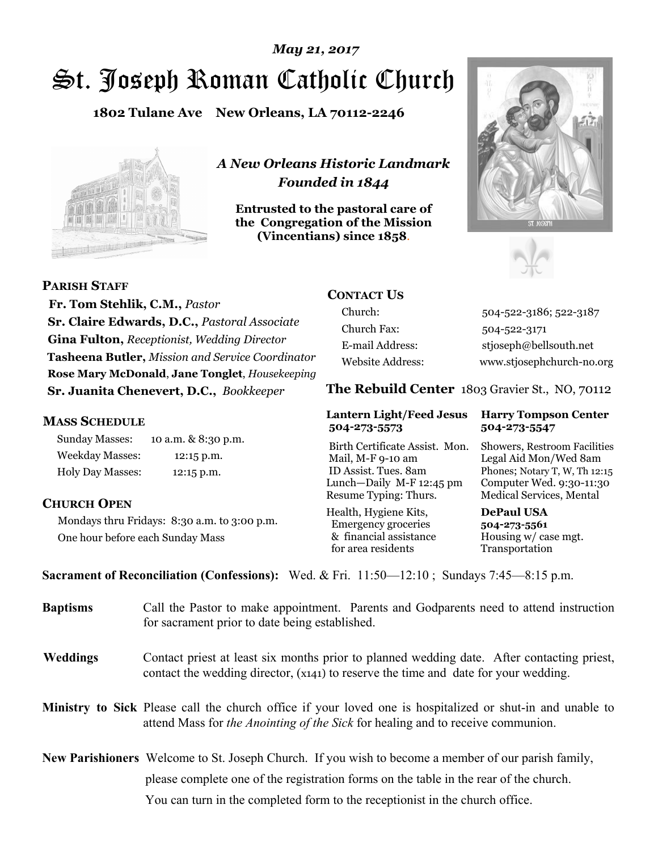# St. Joseph Roman Catholic Church *May 21, 2017*

**1802 Tulane Ave New Orleans, LA 70112-2246**



*A New Orleans Historic Landmark Founded in 1844* 

**Entrusted to the pastoral care of the Congregation of the Mission (Vincentians) since 1858**.





**PARISH STAFF**

 **Fr. Tom Stehlik, C.M.,** *Pastor* **Sr. Claire Edwards, D.C.,** *Pastoral Associate* **Gina Fulton,** *Receptionist, Wedding Director* **Tasheena Butler,** *Mission and Service Coordinator* **Rose Mary McDonald**, **Jane Tonglet**, *Housekeeping* **Sr. Juanita Chenevert, D.C.,** *Bookkeeper* 

### **MASS SCHEDULE**

Sunday Masses: 10 a.m. & 8:30 p.m. Weekday Masses: 12:15 p.m. Holy Day Masses: 12:15 p.m.

### **CHURCH OPEN**

Mondays thru Fridays: 8:30 a.m. to 3:00 p.m. One hour before each Sunday Mass

# **CONTACT US**

Church: 504-522-3186; 522-3187 Church Fax: 504-522-3171 E-mail Address: stjoseph@bellsouth.net Website Address: www.stjosephchurch-no.org

**The Rebuild Center** 1803 Gravier St., NO, 70112

### **Lantern Light/Feed Jesus Harry Tompson Center 504-273-5573 504-273-5547**

Birth Certificate Assist. Mon. Showers, Restroom Facilities Mail, M-F 9-10 am Legal Aid Mon/Wed 8am ID Assist. Tues. 8am Phones; Notary T, W, Th 12:15 Lunch—Daily M-F 12:45 pm Computer Wed. 9:30-11:30 Resume Typing: Thurs. Medical Services, Mental

Health, Hygiene Kits, **DePaul USA**  Emergency groceries **504-273-5561** & financial assistance Housing w/ case mgt.<br>for area residents Transportation for area residents

**Sacrament of Reconciliation (Confessions):** Wed. & Fri. 11:50—12:10 ; Sundays 7:45—8:15 p.m.

| <b>Baptisms</b> | Call the Pastor to make appointment. Parents and Godparents need to attend instruction<br>for sacrament prior to date being established.                                                                   |  |
|-----------------|------------------------------------------------------------------------------------------------------------------------------------------------------------------------------------------------------------|--|
| <b>Weddings</b> | Contact priest at least six months prior to planned wedding date. After contacting priest,<br>contact the wedding director, (x141) to reserve the time and date for your wedding.                          |  |
|                 | <b>Ministry to Sick</b> Please call the church office if your loved one is hospitalized or shut-in and unable to<br>attend Mass for <i>the Anointing of the Sick</i> for healing and to receive communion. |  |
|                 | <b>New Parishioners</b> Welcome to St. Joseph Church. If you wish to become a member of our parish family,                                                                                                 |  |
|                 | please complete one of the registration forms on the table in the rear of the church.                                                                                                                      |  |
|                 | You can turn in the completed form to the receptionist in the church office.                                                                                                                               |  |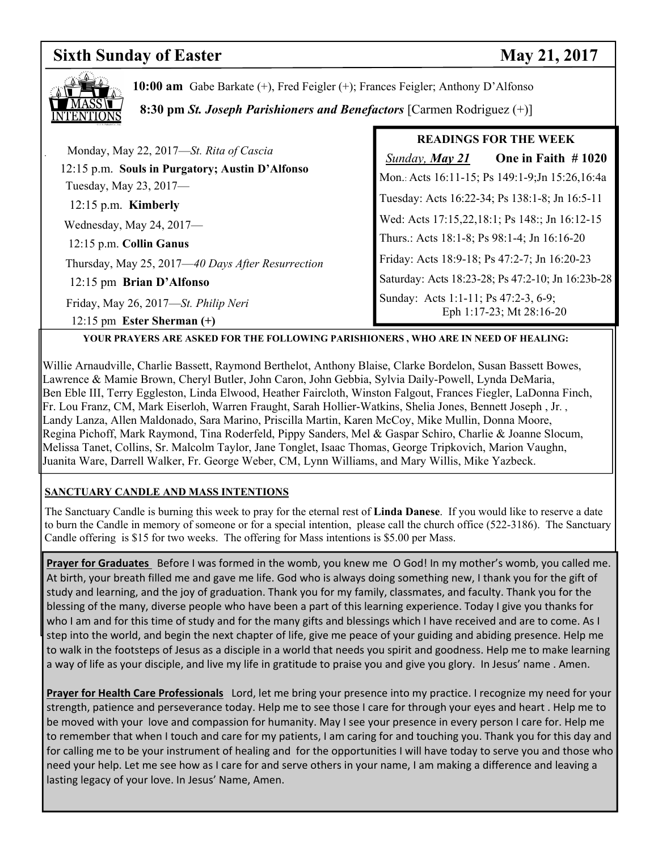### **Sixth Sunday of Easter May 21, 2017**



**10:00 am** Gabe Barkate (+), Fred Feigler (+); Frances Feigler; Anthony D'Alfonso

 **8:30 pm** *St. Joseph Parishioners and Benefactors* [Carmen Rodriguez (+)]

|                                                                           | <b>READINGS FOR THE WEEK</b>                                     |  |
|---------------------------------------------------------------------------|------------------------------------------------------------------|--|
| Monday, May 22, 2017—St. Rita of Cascia                                   | One in Faith $#1020$<br><b>Sunday, May 21</b>                    |  |
| 12:15 p.m. Souls in Purgatory; Austin D'Alfonso<br>Tuesday, May 23, 2017- | Mon.: Acts 16:11-15; Ps 149:1-9; Jn 15:26, 16:4a                 |  |
| $12:15$ p.m. Kimberly                                                     | Tuesday: Acts 16:22-34; Ps 138:1-8; Jn 16:5-11                   |  |
| Wednesday, May 24, 2017-                                                  | Wed: Acts 17:15,22,18:1; Ps 148:; Jn 16:12-15                    |  |
| 12:15 p.m. Collin Ganus                                                   | Thurs.: Acts 18:1-8; Ps 98:1-4; Jn 16:16-20                      |  |
| Thursday, May 25, 2017—40 Days After Resurrection                         | Friday: Acts 18:9-18; Ps 47:2-7; Jn 16:20-23                     |  |
| 12:15 pm Brian D'Alfonso                                                  | Saturday: Acts 18:23-28; Ps 47:2-10; Jn 16:23b-28                |  |
| Friday, May 26, 2017—St. Philip Neri<br>12:15 pm Ester Sherman $(+)$      | Sunday: Acts 1:1-11; Ps 47:2-3, 6-9;<br>Eph 1:17-23; Mt 28:16-20 |  |

**YOUR PRAYERS ARE ASKED FOR THE FOLLOWING PARISHIONERS , WHO ARE IN NEED OF HEALING:** 

Willie Arnaudville, Charlie Bassett, Raymond Berthelot, Anthony Blaise, Clarke Bordelon, Susan Bassett Bowes, Lawrence & Mamie Brown, Cheryl Butler, John Caron, John Gebbia, Sylvia Daily-Powell, Lynda DeMaria, Ben Eble III, Terry Eggleston, Linda Elwood, Heather Faircloth, Winston Falgout, Frances Fiegler, LaDonna Finch, Fr. Lou Franz, CM, Mark Eiserloh, Warren Fraught, Sarah Hollier-Watkins, Shelia Jones, Bennett Joseph , Jr. , Landy Lanza, Allen Maldonado, Sara Marino, Priscilla Martin, Karen McCoy, Mike Mullin, Donna Moore, Regina Pichoff, Mark Raymond, Tina Roderfeld, Pippy Sanders, Mel & Gaspar Schiro, Charlie & Joanne Slocum, Melissa Tanet, Collins, Sr. Malcolm Taylor, Jane Tonglet, Isaac Thomas, George Tripkovich, Marion Vaughn, Juanita Ware, Darrell Walker, Fr. George Weber, CM, Lynn Williams, and Mary Willis, Mike Yazbeck.

### **SANCTUARY CANDLE AND MASS INTENTIONS**

The Sanctuary Candle is burning this week to pray for the eternal rest of **Linda Danese**. If you would like to reserve a date to burn the Candle in memory of someone or for a special intention, please call the church office (522-3186). The Sanctuary Candle offering is \$15 for two weeks. The offering for Mass intentions is \$5.00 per Mass.

**Prayer for Graduates** Before I was formed in the womb, you knew me O God! In my mother's womb, you called me. At birth, your breath filled me and gave me life. God who is always doing something new, I thank you for the gift of study and learning, and the joy of graduation. Thank you for my family, classmates, and faculty. Thank you for the blessing of the many, diverse people who have been a part of this learning experience. Today I give you thanks for who I am and for this time of study and for the many gifts and blessings which I have received and are to come. As I step into the world, and begin the next chapter of life, give me peace of your guiding and abiding presence. Help me to walk in the footsteps of Jesus as a disciple in a world that needs you spirit and goodness. Help me to make learning a way of life as your disciple, and live my life in gratitude to praise you and give you glory. In Jesus' name . Amen.

**Prayer for Health Care Professionals** Lord, let me bring your presence into my practice. I recognize my need for your strength, patience and perseverance today. Help me to see those I care for through your eyes and heart . Help me to be moved with your love and compassion for humanity. May I see your presence in every person I care for. Help me to remember that when I touch and care for my patients, I am caring for and touching you. Thank you for this day and for calling me to be your instrument of healing and for the opportunities I will have today to serve you and those who need your help. Let me see how as I care for and serve others in your name, I am making a difference and leaving a lasting legacy of your love. In Jesus' Name, Amen.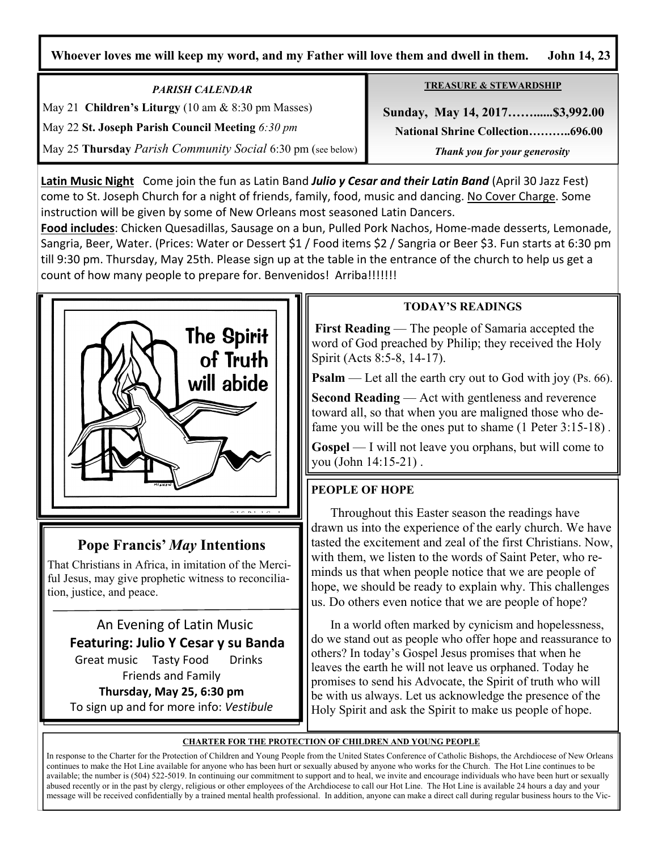**Whoever loves me will keep my word, and my Father will love them and dwell in them. John 14, 23**

*PARISH CALENDAR*  May 21 **Children's Liturgy** (10 am & 8:30 pm Masses) May 22 **St. Joseph Parish Council Meeting** *6:30 pm* May 25 **Thursday** *Parish Community Social* 6:30 pm (see below) **TREASURE & STEWARDSHIP**

 **Sunday, May 14, 2017……......\$3,992.00 National Shrine Collection………..696.00** *Thank you for your generosity* 

**Latin Music Night** Come join the fun as Latin Band *Julio y Cesar and their Latin Band* (April 30 Jazz Fest) come to St. Joseph Church for a night of friends, family, food, music and dancing. No Cover Charge. Some instruction will be given by some of New Orleans most seasoned Latin Dancers.

**Food includes**: Chicken Quesadillas, Sausage on a bun, Pulled Pork Nachos, Home-made desserts, Lemonade, Sangria, Beer, Water. (Prices: Water or Dessert \$1 / Food items \$2 / Sangria or Beer \$3. Fun starts at 6:30 pm till 9:30 pm. Thursday, May 25th. Please sign up at the table in the entrance of the church to help us get a count of how many people to prepare for. Benvenidos! Arriba!!!!!!!



# **Pope Francis'** *May* **Intentions**

That Christians in Africa, in imitation of the Merciful Jesus, may give prophetic witness to reconciliation, justice, and peace.

 An Evening of Latin Music **Featuring: Julio Y Cesar y su Banda** Great music Tasty Food Drinks Friends and Family **Thursday, May 25, 6:30 pm**  To sign up and for more info: *Vestibule* 

# **TODAY'S READINGS**

 **First Reading** — The people of Samaria accepted the word of God preached by Philip; they received the Holy Spirit (Acts 8:5-8, 14-17).

**Psalm** — Let all the earth cry out to God with joy (Ps. 66).

**Second Reading** — Act with gentleness and reverence toward all, so that when you are maligned those who defame you will be the ones put to shame (1 Peter 3:15-18) *.* 

**Gospel** — I will not leave you orphans, but will come to you (John 14:15-21) .

# **PEOPLE OF HOPE**

Throughout this Easter season the readings have drawn us into the experience of the early church. We have tasted the excitement and zeal of the first Christians. Now, with them, we listen to the words of Saint Peter, who reminds us that when people notice that we are people of hope, we should be ready to explain why. This challenges us. Do others even notice that we are people of hope?

In a world often marked by cynicism and hopelessness, do we stand out as people who offer hope and reassurance to others? In today's Gospel Jesus promises that when he leaves the earth he will not leave us orphaned. Today he promises to send his Advocate, the Spirit of truth who will be with us always. Let us acknowledge the presence of the Holy Spirit and ask the Spirit to make us people of hope.

## **CHARTER FOR THE PROTECTION OF CHILDREN AND YOUNG PEOPLE**

In response to the Charter for the Protection of Children and Young People from the United States Conference of Catholic Bishops, the Archdiocese of New Orleans continues to make the Hot Line available for anyone who has been hurt or sexually abused by anyone who works for the Church. The Hot Line continues to be available; the number is (504) 522-5019. In continuing our commitment to support and to heal, we invite and encourage individuals who have been hurt or sexually abused recently or in the past by clergy, religious or other employees of the Archdiocese to call our Hot Line. The Hot Line is available 24 hours a day and your message will be received confidentially by a trained mental health professional. In addition, anyone can make a direct call during regular business hours to the Vic-